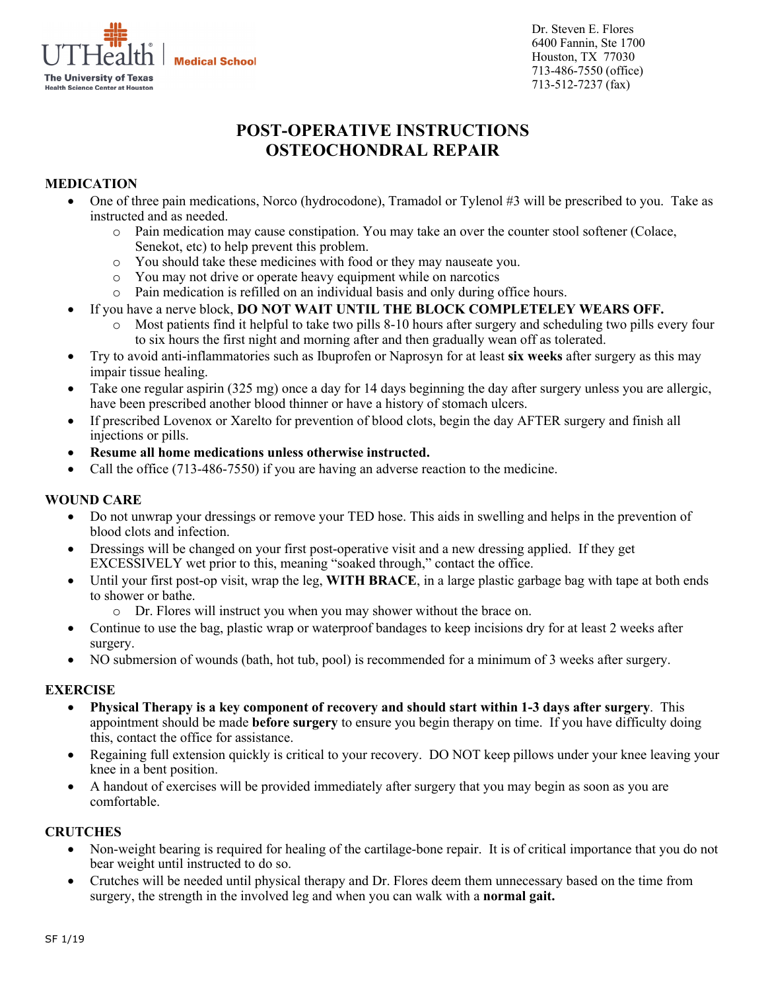**Medical School**  $\overline{\phantom{0}}$ **The University of Texas Health Science Center at Houston** 

Dr. Steven E. Flores 6400 Fannin, Ste 1700 Houston, TX 77030 713-486-7550 (office) 713-512-7237 (fax)

# **POST-OPERATIVE INSTRUCTIONS OSTEOCHONDRAL REPAIR**

# **MEDICATION**

- One of three pain medications, Norco (hydrocodone), Tramadol or Tylenol #3 will be prescribed to you. Take as instructed and as needed.
	- o Pain medication may cause constipation. You may take an over the counter stool softener (Colace, Senekot, etc) to help prevent this problem.
	- o You should take these medicines with food or they may nauseate you.
	- o You may not drive or operate heavy equipment while on narcotics
	- o Pain medication is refilled on an individual basis and only during office hours.
- If you have a nerve block, **DO NOT WAIT UNTIL THE BLOCK COMPLETELEY WEARS OFF.** 
	- o Most patients find it helpful to take two pills 8-10 hours after surgery and scheduling two pills every four to six hours the first night and morning after and then gradually wean off as tolerated.
- Try to avoid anti-inflammatories such as Ibuprofen or Naprosyn for at least **six weeks** after surgery as this may impair tissue healing.
- Take one regular aspirin (325 mg) once a day for 14 days beginning the day after surgery unless you are allergic, have been prescribed another blood thinner or have a history of stomach ulcers.
- If prescribed Lovenox or Xarelto for prevention of blood clots, begin the day AFTER surgery and finish all injections or pills.
- **Resume all home medications unless otherwise instructed.**
- Call the office (713-486-7550) if you are having an adverse reaction to the medicine.

## **WOUND CARE**

- Do not unwrap your dressings or remove your TED hose. This aids in swelling and helps in the prevention of blood clots and infection.
- Dressings will be changed on your first post-operative visit and a new dressing applied. If they get EXCESSIVELY wet prior to this, meaning "soaked through," contact the office.
- Until your first post-op visit, wrap the leg, **WITH BRACE**, in a large plastic garbage bag with tape at both ends to shower or bathe.
	- o Dr. Flores will instruct you when you may shower without the brace on.
- Continue to use the bag, plastic wrap or waterproof bandages to keep incisions dry for at least 2 weeks after surgery.
- NO submersion of wounds (bath, hot tub, pool) is recommended for a minimum of 3 weeks after surgery.

# **EXERCISE**

- **Physical Therapy is a key component of recovery and should start within 1-3 days after surgery**. This appointment should be made **before surgery** to ensure you begin therapy on time. If you have difficulty doing this, contact the office for assistance.
- Regaining full extension quickly is critical to your recovery. DO NOT keep pillows under your knee leaving your knee in a bent position.
- A handout of exercises will be provided immediately after surgery that you may begin as soon as you are comfortable.

# **CRUTCHES**

- Non-weight bearing is required for healing of the cartilage-bone repair. It is of critical importance that you do not bear weight until instructed to do so.
- Crutches will be needed until physical therapy and Dr. Flores deem them unnecessary based on the time from surgery, the strength in the involved leg and when you can walk with a **normal gait.**